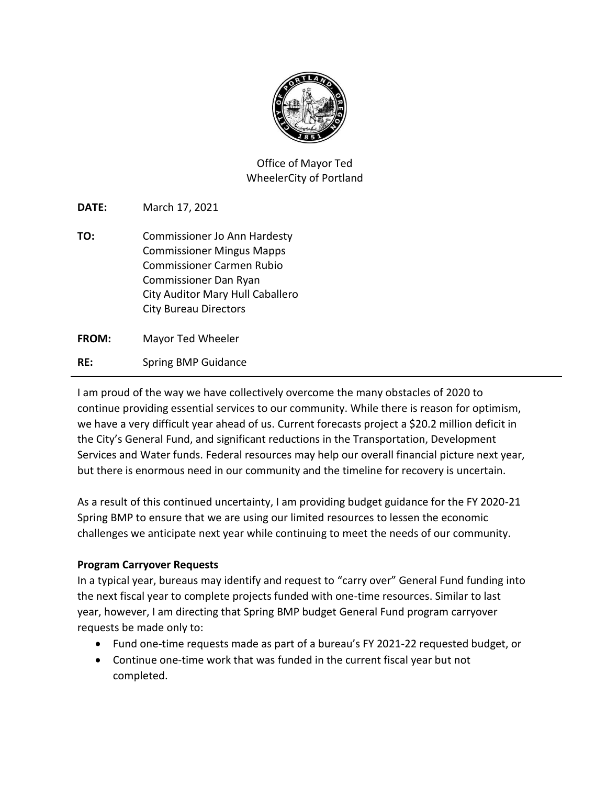

Office of Mayor Ted WheelerCity of Portland

**DATE:** March 17, 2021

**TO:** Commissioner Jo Ann Hardesty Commissioner Mingus Mapps Commissioner Carmen Rubio Commissioner Dan Ryan City Auditor Mary Hull Caballero City Bureau Directors

**FROM:** Mayor Ted Wheeler **RE:** Spring BMP Guidance

I am proud of the way we have collectively overcome the many obstacles of 2020 to continue providing essential services to our community. While there is reason for optimism, we have a very difficult year ahead of us. Current forecasts project a \$20.2 million deficit in the City's General Fund, and significant reductions in the Transportation, Development Services and Water funds. Federal resources may help our overall financial picture next year, but there is enormous need in our community and the timeline for recovery is uncertain.

As a result of this continued uncertainty, I am providing budget guidance for the FY 2020-21 Spring BMP to ensure that we are using our limited resources to lessen the economic challenges we anticipate next year while continuing to meet the needs of our community.

## **Program Carryover Requests**

In a typical year, bureaus may identify and request to "carry over" General Fund funding into the next fiscal year to complete projects funded with one-time resources. Similar to last year, however, I am directing that Spring BMP budget General Fund program carryover requests be made only to:

- Fund one-time requests made as part of a bureau's FY 2021-22 requested budget, or
- Continue one-time work that was funded in the current fiscal year but not completed.